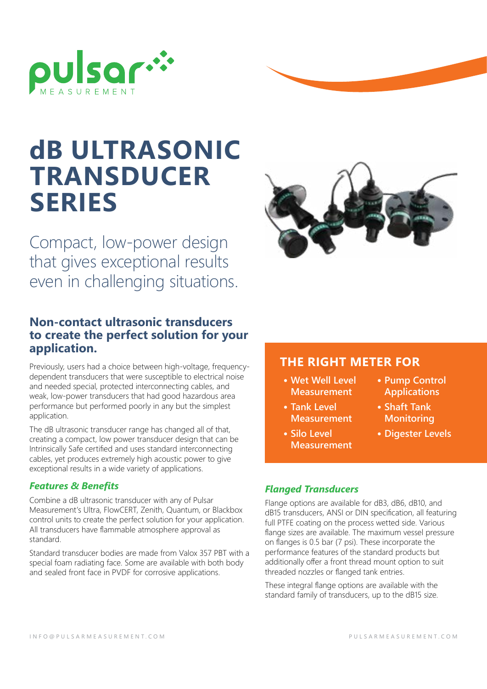

# **dB ULTRASONIC TRANSDUCER SERIES**

Compact, low-power design that gives exceptional results even in challenging situations.

### **Non-contact ultrasonic transducers to create the perfect solution for your application.**

Previously, users had a choice between high-voltage, frequencydependent transducers that were susceptible to electrical noise and needed special, protected interconnecting cables, and weak, low-power transducers that had good hazardous area performance but performed poorly in any but the simplest application.

The dB ultrasonic transducer range has changed all of that, creating a compact, low power transducer design that can be Intrinsically Safe certified and uses standard interconnecting cables, yet produces extremely high acoustic power to give exceptional results in a wide variety of applications.

#### *Features & Benefits*

Combine a dB ultrasonic transducer with any of Pulsar Measurement's Ultra, FlowCERT, Zenith, Quantum, or Blackbox control units to create the perfect solution for your application. All transducers have flammable atmosphere approval as standard.

Standard transducer bodies are made from Valox 357 PBT with a special foam radiating face. Some are available with both body and sealed front face in PVDF for corrosive applications.

### **THE RIGHT METER FOR**

- **• Wet Well Level Measurement**
- **• Tank Level Measurement**
- **• Silo Level Measurement**
- **• Pump Control Applications**
- **• Shaft Tank Monitoring**
- **• Digester Levels**

#### *Flanged Transducers*

Flange options are available for dB3, dB6, dB10, and dB15 transducers, ANSI or DIN specification, all featuring full PTFE coating on the process wetted side. Various flange sizes are available. The maximum vessel pressure on flanges is 0.5 bar (7 psi). These incorporate the performance features of the standard products but additionally offer a front thread mount option to suit threaded nozzles or flanged tank entries.

These integral flange options are available with the standard family of transducers, up to the dB15 size.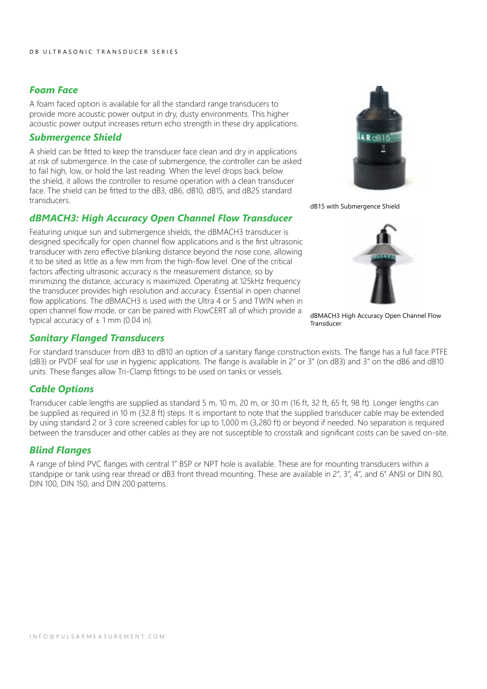#### *Foam Face*

A foam faced option is available for all the standard range transducers to provide more acoustic power output in dry, dusty environments. This higher acoustic power output increases return echo strength in these dry applications.

#### *Submergence Shield*

A shield can be fitted to keep the transducer face clean and dry in applications at risk of submergence. In the case of submergence, the controller can be asked to fail high, low, or hold the last reading. When the level drops back below the shield, it allows the controller to resume operation with a clean transducer face. The shield can be fitted to the dB3, dB6, dB10, dB15, and dB25 standard transducers.

#### *dBMACH3: High Accuracy Open Channel Flow Transducer*

Featuring unique sun and submergence shields, the dBMACH3 transducer is designed specifically for open channel flow applications and is the first ultrasonic transducer with zero effective blanking distance beyond the nose cone, allowing it to be sited as little as a few mm from the high-flow level. One of the critical factors affecting ultrasonic accuracy is the measurement distance, so by minimizing the distance, accuracy is maximized. Operating at 125kHz frequency the transducer provides high resolution and accuracy. Essential in open channel flow applications. The dBMACH3 is used with the Ultra 4 or 5 and TWIN when in open channel flow mode, or can be paired with FlowCERT all of which provide a typical accuracy of  $\pm$  1 mm (0.04 in).

#### *Sanitary Flanged Transducers*

For standard transducer from dB3 to dB10 an option of a sanitary flange construction exists. The flange has a full face PTFE (dB3) or PVDF seal for use in hygienic applications. The flange is available in 2" or 3" (on dB3) and 3" on the dB6 and dB10 units. These flanges allow Tri-Clamp fittings to be used on tanks or vessels.

#### *Cable Options*

Transducer cable lengths are supplied as standard 5 m, 10 m, 20 m, or 30 m (16 ft, 32 ft, 65 ft, 98 ft). Longer lengths can be supplied as required in 10 m (32.8 ft) steps. It is important to note that the supplied transducer cable may be extended by using standard 2 or 3 core screened cables for up to 1,000 m (3,280 ft) or beyond if needed. No separation is required between the transducer and other cables as they are not susceptible to crosstalk and significant costs can be saved on-site.

#### *Blind Flanges*

A range of blind PVC flanges with central 1" BSP or NPT hole is available. These are for mounting transducers within a standpipe or tank using rear thread or dB3 front thread mounting. These are available in 2", 3", 4", and 6" ANSI or DIN 80, DIN 100, DIN 150, and DIN 200 patterns.



dB15 with Submergence Shield



dBMACH3 High Accuracy Open Channel Flow Transducer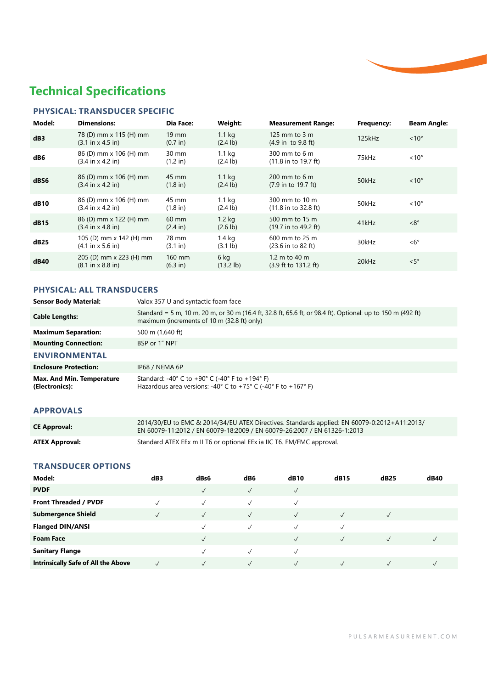## **Technical Specifications**

#### **PHYSICAL: TRANSDUCER SPECIFIC**

| Model:      | <b>Dimensions:</b>                                              | Dia Face:                             | Weight:                                 | <b>Measurement Range:</b>                                     | Frequency: | <b>Beam Angle:</b> |
|-------------|-----------------------------------------------------------------|---------------------------------------|-----------------------------------------|---------------------------------------------------------------|------------|--------------------|
| dB3         | 78 (D) mm x 115 (H) mm<br>$(3.1 \text{ in } x 4.5 \text{ in})$  | $19 \text{ mm}$<br>$(0.7 \text{ in})$ | 1.1 <sub>kg</sub><br>$(2.4 \text{ lb})$ | 125 mm to $3 \text{ m}$<br>$(4.9 \text{ in } 9.8 \text{ ft})$ | 125kHz     | $~10^{\circ}$      |
| dB6         | 86 (D) mm x 106 (H) mm<br>$(3.4 \text{ in } x 4.2 \text{ in})$  | $30 \text{ mm}$<br>(1.2 in)           | 1.1 <sub>ka</sub><br>$(2.4 \text{ lb})$ | 300 mm to 6 m<br>$(11.8 \text{ in to } 19.7 \text{ ft})$      | 75kHz      | $< 10^{\circ}$     |
| dBS6        | 86 (D) mm x 106 (H) mm<br>$(3.4 \text{ in } x 4.2 \text{ in})$  | 45 mm<br>$(1.8 \text{ in})$           | 1.1 <sub>kg</sub><br>$(2.4 \text{ lb})$ | 200 mm to 6 m<br>(7.9 in to 19.7 ft)                          | 50kHz      | $~10^{\circ}$      |
| <b>dB10</b> | 86 (D) mm x 106 (H) mm<br>$(3.4 \text{ in } x 4.2 \text{ in})$  | 45 mm<br>$(1.8 \text{ in})$           | 1.1 <sub>kg</sub><br>$(2.4 \text{ lb})$ | 300 mm to 10 m<br>$(11.8 \text{ in to } 32.8 \text{ ft})$     | 50kHz      | $< 10^{\circ}$     |
| dB15        | 86 (D) mm x 122 (H) mm<br>$(3.4 \text{ in } x 4.8 \text{ in})$  | $60 \text{ mm}$<br>$(2.4 \text{ in})$ | $1.2$ kg<br>$(2.6 \text{ lb})$          | 500 mm to 15 m<br>$(19.7 \text{ in to } 49.2 \text{ ft})$     | 41kHz      | $<8^{\circ}$       |
| dB25        | 105 (D) mm x 142 (H) mm<br>(4.1 in x 5.6 in)                    | 78 mm<br>(3.1 in)                     | $1.4$ kg<br>$(3.1 \text{ lb})$          | 600 mm to 25 m<br>$(23.6 \text{ in to } 82 \text{ ft})$       | 30kHz      | $< 6^{\circ}$      |
| dB40        | 205 (D) mm x 223 (H) mm<br>$(8.1 \text{ in } x 8.8 \text{ in})$ | 160 mm<br>$(6.3 \text{ in})$          | 6 kg<br>$(13.2$ lb)                     | 1.2 m to 40 m<br>$(3.9 \text{ ft to } 131.2 \text{ ft})$      | 20kHz      | $\leq 5^{\circ}$   |

#### **PHYSICAL: ALL TRANSDUCERS**

| <b>Sensor Body Material:</b>                | Valox 357 U and syntactic foam face                                                                                                                                                         |
|---------------------------------------------|---------------------------------------------------------------------------------------------------------------------------------------------------------------------------------------------|
| <b>Cable Lengths:</b>                       | Standard = 5 m, 10 m, 20 m, or 30 m (16.4 ft, 32.8 ft, 65.6 ft, or 98.4 ft). Optional: up to 150 m (492 ft)<br>maximum (increments of 10 m (32.8 ft) only)                                  |
| <b>Maximum Separation:</b>                  | 500 m (1,640 ft)                                                                                                                                                                            |
| <b>Mounting Connection:</b>                 | BSP or 1" NPT                                                                                                                                                                               |
| <b>ENVIRONMENTAL</b>                        |                                                                                                                                                                                             |
| <b>Enclosure Protection:</b>                | IP68 / NEMA 6P                                                                                                                                                                              |
| Max. And Min. Temperature<br>(Electronics): | Standard: -40 $^{\circ}$ C to +90 $^{\circ}$ C (-40 $^{\circ}$ F to +194 $^{\circ}$ F)<br>Hazardous area versions: -40 $\degree$ C to +75 $\degree$ C (-40 $\degree$ F to +167 $\degree$ F) |

#### **APPROVALS**

| <b>CE Approval:</b>   | 2014/30/EU to EMC & 2014/34/EU ATEX Directives. Standards applied: EN 60079-0:2012+A11:2013/<br>EN 60079-11:2012 / EN 60079-18:2009 / EN 60079-26:2007 / EN 61326-1:2013 |
|-----------------------|--------------------------------------------------------------------------------------------------------------------------------------------------------------------------|
| <b>ATEX Approval:</b> | Standard ATEX EEx m II T6 or optional EEx ia IIC T6. FM/FMC approval.                                                                                                    |

#### **TRANSDUCER OPTIONS**

| Model:                                     | dB3 | dBs6      | dB6          | <b>dB10</b>  | dB15         | dB25       | dB40         |
|--------------------------------------------|-----|-----------|--------------|--------------|--------------|------------|--------------|
| <b>PVDF</b>                                |     |           | $\checkmark$ | √            |              |            |              |
| Front Threaded / PVDF                      |     |           | J            | √            |              |            |              |
| <b>Submergence Shield</b>                  |     | $\sqrt{}$ | √            | $\checkmark$ | $\checkmark$ | √          |              |
| <b>Flanged DIN/ANSI</b>                    |     |           |              | $\sqrt{}$    | $\checkmark$ |            |              |
| <b>Foam Face</b>                           |     |           |              |              | $\checkmark$ | $\sqrt{ }$ | $\checkmark$ |
| <b>Sanitary Flange</b>                     |     |           |              |              |              |            |              |
| <b>Intrinsically Safe of All the Above</b> |     |           |              |              |              |            |              |